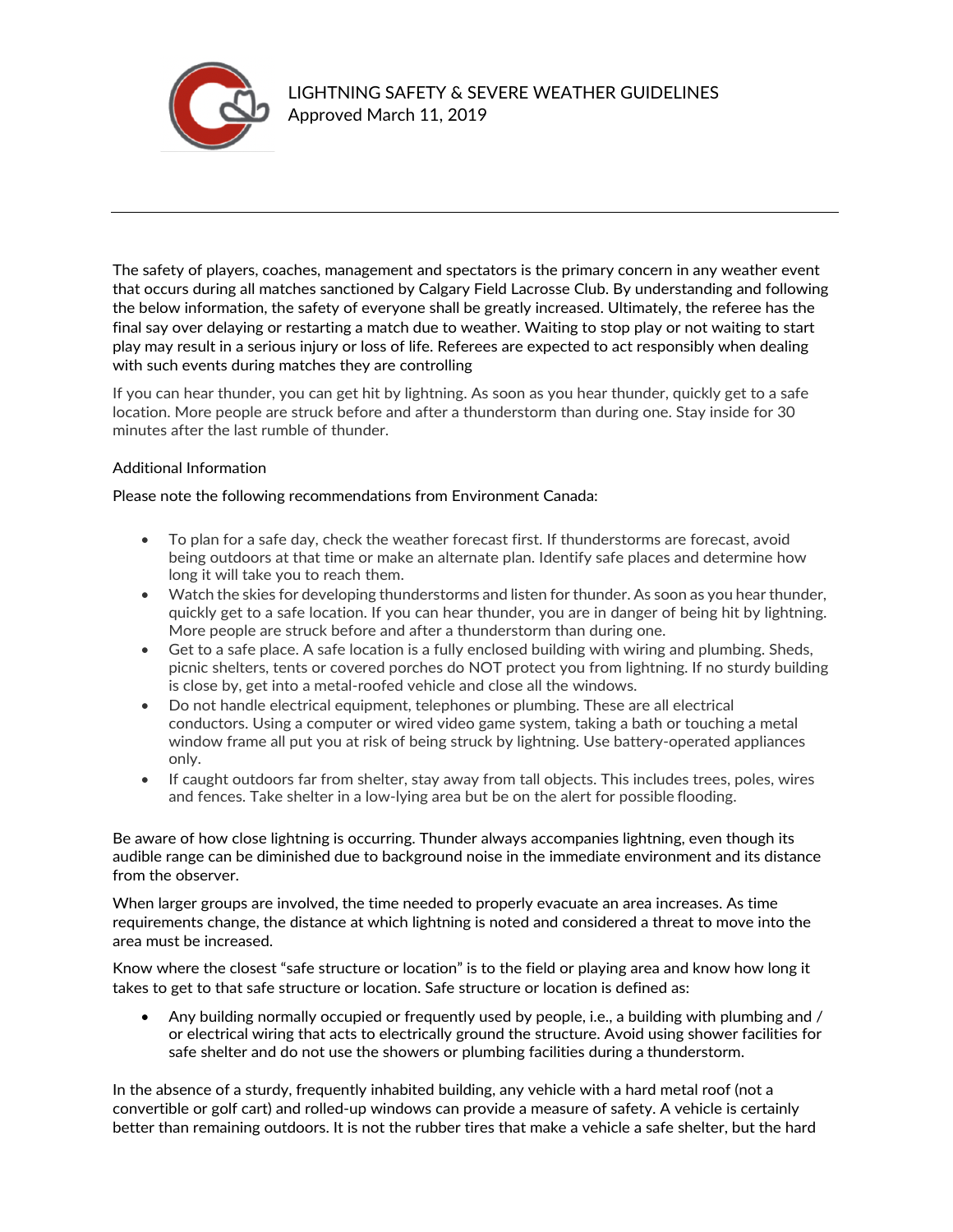

The safety of players, coaches, management and spectators is the primary concern in any weather event that occurs during all matches sanctioned by Calgary Field Lacrosse Club. By understanding and following the below information, the safety of everyone shall be greatly increased. Ultimately, the referee has the final say over delaying or restarting a match due to weather. Waiting to stop play or not waiting to start play may result in a serious injury or loss of life. Referees are expected to act responsibly when dealing with such events during matches they are controlling

If you can hear thunder, you can get hit by lightning. As soon as you hear thunder, quickly get to a safe location. More people are struck before and after a thunderstorm than during one. Stay inside for 30 minutes after the last rumble of thunder.

## Additional Information

## Please note the following recommendations from Environment Canada:

- To plan for a safe day, check the weather forecast first. If thunderstorms are forecast, avoid being outdoors at that time or make an alternate plan. Identify safe places and determine how long it will take you to reach them.
- Watch the skies for developing thunderstorms and listen for thunder. As soon as you hear thunder, quickly get to a safe location. If you can hear thunder, you are in danger of being hit by lightning. More people are struck before and after a thunderstorm than during one.
- Get to a safe place. A safe location is a fully enclosed building with wiring and plumbing. Sheds, picnic shelters, tents or covered porches do NOT protect you from lightning. If no sturdy building is close by, get into a metal-roofed vehicle and close all the windows.
- Do not handle electrical equipment, telephones or plumbing. These are all electrical conductors. Using a computer or wired video game system, taking a bath or touching a metal window frame all put you at risk of being struck by lightning. Use battery-operated appliances only.
- If caught outdoors far from shelter, stay away from tall objects. This includes trees, poles, wires and fences. Take shelter in a low-lying area but be on the alert for possible flooding.

Be aware of how close lightning is occurring. Thunder always accompanies lightning, even though its audible range can be diminished due to background noise in the immediate environment and its distance from the observer.

When larger groups are involved, the time needed to properly evacuate an area increases. As time requirements change, the distance at which lightning is noted and considered a threat to move into the area must be increased.

Know where the closest "safe structure or location" is to the field or playing area and know how long it takes to get to that safe structure or location. Safe structure or location is defined as:

• Any building normally occupied or frequently used by people, i.e., a building with plumbing and / or electrical wiring that acts to electrically ground the structure. Avoid using shower facilities for safe shelter and do not use the showers or plumbing facilities during a thunderstorm.

In the absence of a sturdy, frequently inhabited building, any vehicle with a hard metal roof (not a convertible or golf cart) and rolled-up windows can provide a measure of safety. A vehicle is certainly better than remaining outdoors. It is not the rubber tires that make a vehicle a safe shelter, but the hard